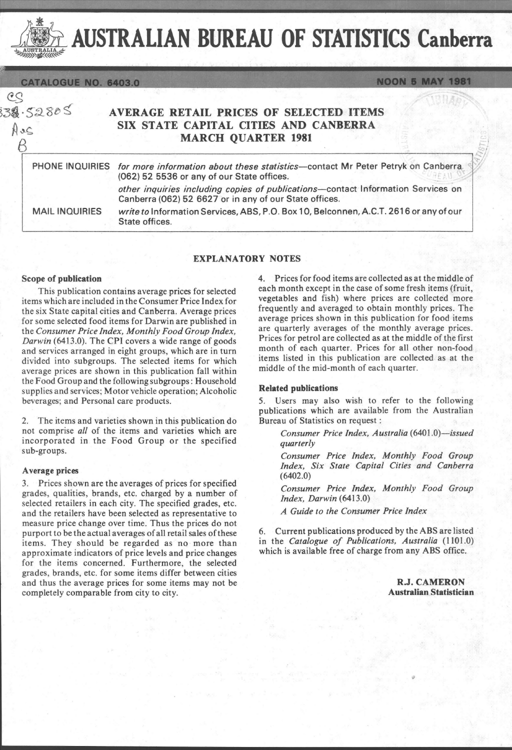AUST AUSTRALIAN BUREAU OF STATISTICS Canberra

 $\mathcal{T}_1$  ; and  $\mathcal{T}_2$  , if  $\mathcal{T}_3$  , if  $\mathcal{T}_4$  ,  $\mathcal{T}_5$  ,  $\mathcal{T}_6$  ,  $\mathcal{T}_7$  ,  $\mathcal{T}_8$  ,  $\mathcal{T}_9$  ,  $\mathcal{T}_1$  ,  $\mathcal{T}_2$  ,  $\mathcal{T}_3$  ,  $\mathcal{T}_4$  ,  $\mathcal{T}_5$  ,  $\mathcal{T}_6$  ,  $\mathcal{T}_7$  ,  $\mathcal{T}_8$  ,  $\mathcal{T}_9$  ,  $\mathcal{T}_9$  ,  $\$ 

 $3.5280$  S

 $AC$  $\beta$ 

eg

# AVERAGE RETAIL PRICES OF SELECTED ITEMS SIX STATE CAPITAL CITIES AND CANBERRA MARCH QUARTER 1981

for more information about these statistics-contact Mr Peter Petryk on Canberra.  $(062)$  52 5536 or any of our State offices. PHONE INQUIRIES other inquiries including copies of publications-contact Information Services on

MAIL INQUIRIES write to Information Services, ABS, P.O. Box 10, Belconnen, AC.T. 2616 or any of our State offices.

## EXPLANATORY NOTES

Canberra (062) 52 6627 or in any of our State offices.

### Scope of publication

This publication contains average prices for selected items which are included in the Consumer Price Index for the six State capital cities and Canberra. Average prices for some selected food items for Darwin are published in the *Consumer Price Index, Monthly Food Group Index, Darwin* (6413.0). The CPI covers a wide range of goods and services arranged in eight groups, which are in turn divided into subgroups. The selected items for which average prices are shown in this publication fall within the Food Group and the following subgroups : Household supplies and services; Motor vehicle operation; Alcoholic beverages; and Personal care products.

2. The items and varieties shown in this publication do not comprise *all* of the items and varieties which are incorporated in the Food Group or the specified sub-groups.

### A verage prices

3. Prices shown are the averages of prices for specified grades, qualities, brands, etc. charged by a number of selected retailers in each city. The specified grades, etc. and the retailers have been selected as representative to measure price change over time. Thus the prices do not purport to be the actual averages of all retail sales of these items. They should be regarded as no more than approximate indicators of price levels and price changes for the items concerned. Furthermore, the selected grades, brands, etc. for some items differ between cities and thus the average prices for some items may not be completely comparable from city to city.

4. Prices for food items are collected as at the middle of each month except in the case of some fresh items (fruit, vegetables and fish) where prices are collected more frequently and averaged to obtain monthly prices. The average prices shown in this publication for food items are quarterly averages of the monthly average prices. Prices for petrol are collected as at the middle of the first month of each quarter. Prices for all other non-food items listed in this publication are collected as at the middle of the mid-month of each quarter.

### Related publications

5. Users may also wish to refer to the following publications which are available from the Australian Bureau of Statistics on request:

*Consumer Price Index, Australia (6401.0)-issued quarterly* 

*Consumer Price Index, Monthly Food Group Index, Six State Capital Cities and Canberra*  (6402.0)

*Consumer Price Index, Monthly Food Group Index, Darwin (6413.0)* 

*A Guide to the Consumer Price Index* 

6. Current publications produced by the ABS are listed in the *Catalogue of Publications, Australia* (1101.0) which is available free of charge from any ABS office.

> R.J. CAMERON Australian Statistician

 $\mathbb{S}$ /